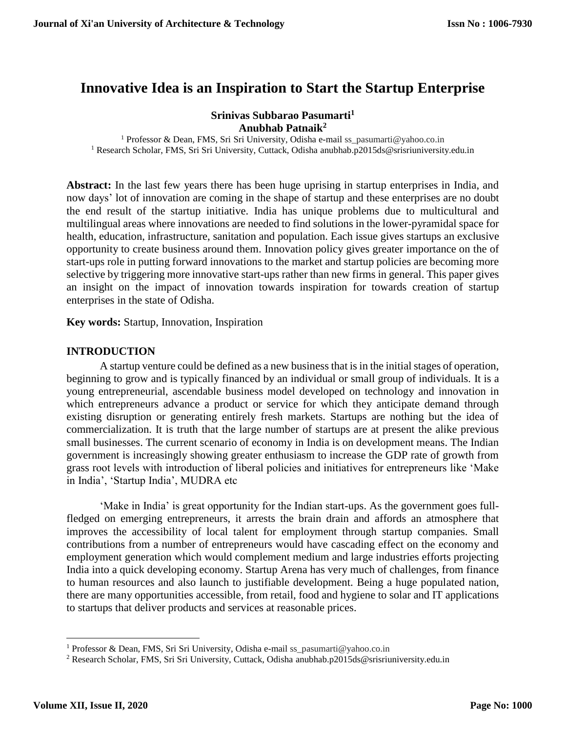# **Innovative Idea is an Inspiration to Start the Startup Enterprise**

# **Srinivas Subbarao Pasumarti<sup>1</sup> Anubhab Patnaik<sup>2</sup>**

<sup>1</sup> Professor & Dean, FMS, Sri Sri University, Odisha e-mail ss\_pasumarti@yahoo.co.in <sup>1</sup> Research Scholar, FMS, Sri Sri University, Cuttack, Odisha anubhab.p2015ds@srisriuniversity.edu.in

**Abstract:** In the last few years there has been huge uprising in startup enterprises in India, and now days' lot of innovation are coming in the shape of startup and these enterprises are no doubt the end result of the startup initiative. India has unique problems due to multicultural and multilingual areas where innovations are needed to find solutions in the lower-pyramidal space for health, education, infrastructure, sanitation and population. Each issue gives startups an exclusive opportunity to create business around them. Innovation policy gives greater importance on the of start-ups role in putting forward innovations to the market and startup policies are becoming more selective by triggering more innovative start-ups rather than new firms in general. This paper gives an insight on the impact of innovation towards inspiration for towards creation of startup enterprises in the state of Odisha.

**Key words:** Startup, Innovation, Inspiration

## **INTRODUCTION**

A startup venture could be defined as a new business that is in the initial stages of operation, beginning to grow and is typically financed by an individual or small group of individuals. It is a young entrepreneurial, ascendable business model developed on technology and innovation in which entrepreneurs advance a product or service for which they anticipate demand through existing disruption or generating entirely fresh markets. Startups are nothing but the idea of commercialization. It is truth that the large number of startups are at present the alike previous small businesses. The current scenario of economy in India is on development means. The Indian government is increasingly showing greater enthusiasm to increase the GDP rate of growth from grass root levels with introduction of liberal policies and initiatives for entrepreneurs like 'Make in India', 'Startup India', MUDRA etc

'Make in India' is great opportunity for the Indian start-ups. As the government goes fullfledged on emerging entrepreneurs, it arrests the brain drain and affords an atmosphere that improves the accessibility of local talent for employment through startup companies. Small contributions from a number of entrepreneurs would have cascading effect on the economy and employment generation which would complement medium and large industries efforts projecting India into a quick developing economy. Startup Arena has very much of challenges, from finance to human resources and also launch to justifiable development. Being a huge populated nation, there are many opportunities accessible, from retail, food and hygiene to solar and IT applications to startups that deliver products and services at reasonable prices.

 $\overline{\phantom{a}}$ 

<sup>1</sup> Professor & Dean, FMS, Sri Sri University, Odisha e-mail ss\_pasumarti@yahoo.co.in

<sup>2</sup> Research Scholar, FMS, Sri Sri University, Cuttack, Odisha anubhab.p2015ds@srisriuniversity.edu.in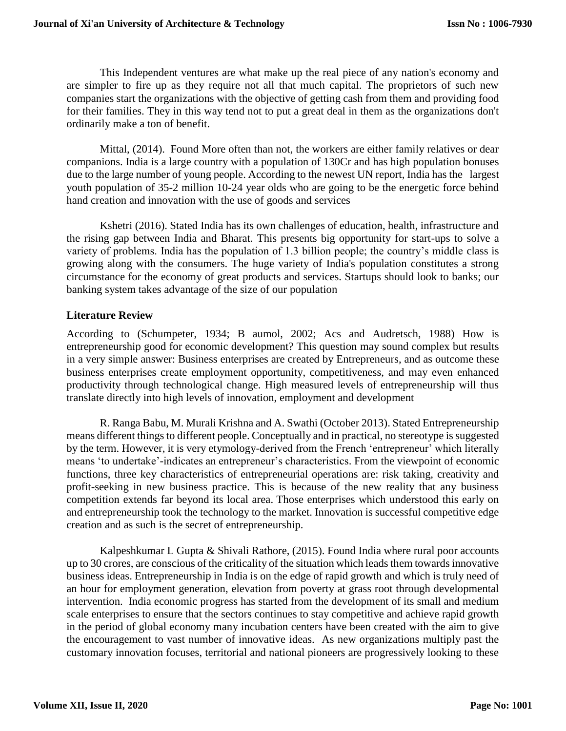This Independent ventures are what make up the real piece of any nation's economy and are simpler to fire up as they require not all that much capital. The proprietors of such new companies start the organizations with the objective of getting cash from them and providing food for their families. They in this way tend not to put a great deal in them as the organizations don't ordinarily make a ton of benefit.

Mittal, (2014). Found More often than not, the workers are either family relatives or dear companions. India is a large country with a population of 130Cr and has high population bonuses due to the large number of young people. According to the newest UN report, India has the largest youth population of 35-2 million 10-24 year olds who are going to be the energetic force behind hand creation and innovation with the use of goods and services

Kshetri (2016). Stated India has its own challenges of education, health, infrastructure and the rising gap between India and Bharat. This presents big opportunity for start-ups to solve a variety of problems. India has the population of 1.3 billion people; the country's middle class is growing along with the consumers. The huge variety of India's population constitutes a strong circumstance for the economy of great products and services. Startups should look to banks; our banking system takes advantage of the size of our population

# **Literature Review**

According to (Schumpeter, 1934; B aumol, 2002; Acs and Audretsch, 1988) How is entrepreneurship good for economic development? This question may sound complex but results in a very simple answer: Business enterprises are created by Entrepreneurs, and as outcome these business enterprises create employment opportunity, competitiveness, and may even enhanced productivity through technological change. High measured levels of entrepreneurship will thus translate directly into high levels of innovation, employment and development

R. Ranga Babu, M. Murali Krishna and A. Swathi (October 2013). Stated Entrepreneurship means different things to different people. Conceptually and in practical, no stereotype is suggested by the term. However, it is very etymology-derived from the French 'entrepreneur' which literally means 'to undertake'-indicates an entrepreneur's characteristics. From the viewpoint of economic functions, three key characteristics of entrepreneurial operations are: risk taking, creativity and profit-seeking in new business practice. This is because of the new reality that any business competition extends far beyond its local area. Those enterprises which understood this early on and entrepreneurship took the technology to the market. Innovation is successful competitive edge creation and as such is the secret of entrepreneurship.

Kalpeshkumar L Gupta & Shivali Rathore, (2015). Found India where rural poor accounts up to 30 crores, are conscious of the criticality of the situation which leads them towards innovative business ideas. Entrepreneurship in India is on the edge of rapid growth and which is truly need of an hour for employment generation, elevation from poverty at grass root through developmental intervention. India economic progress has started from the development of its small and medium scale enterprises to ensure that the sectors continues to stay competitive and achieve rapid growth in the period of global economy many incubation centers have been created with the aim to give the encouragement to vast number of innovative ideas. As new organizations multiply past the customary innovation focuses, territorial and national pioneers are progressively looking to these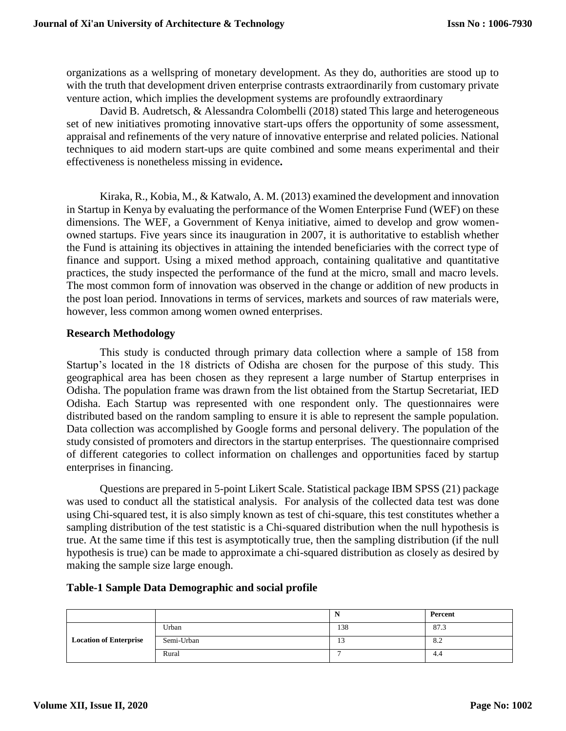organizations as a wellspring of monetary development. As they do, authorities are stood up to with the truth that development driven enterprise contrasts extraordinarily from customary private venture action, which implies the development systems are profoundly extraordinary

David B. Audretsch, & Alessandra Colombelli (2018) stated This large and heterogeneous set of new initiatives promoting innovative start-ups offers the opportunity of some assessment, appraisal and refinements of the very nature of innovative enterprise and related policies. National techniques to aid modern start-ups are quite combined and some means experimental and their effectiveness is nonetheless missing in evidence**.**

Kiraka, R., Kobia, M., & Katwalo, A. M. (2013) examined the development and innovation in Startup in Kenya by evaluating the performance of the Women Enterprise Fund (WEF) on these dimensions. The WEF, a Government of Kenya initiative, aimed to develop and grow womenowned startups. Five years since its inauguration in 2007, it is authoritative to establish whether the Fund is attaining its objectives in attaining the intended beneficiaries with the correct type of finance and support. Using a mixed method approach, containing qualitative and quantitative practices, the study inspected the performance of the fund at the micro, small and macro levels. The most common form of innovation was observed in the change or addition of new products in the post loan period. Innovations in terms of services, markets and sources of raw materials were, however, less common among women owned enterprises.

## **Research Methodology**

This study is conducted through primary data collection where a sample of 158 from Startup's located in the 18 districts of Odisha are chosen for the purpose of this study. This geographical area has been chosen as they represent a large number of Startup enterprises in Odisha. The population frame was drawn from the list obtained from the Startup Secretariat, IED Odisha. Each Startup was represented with one respondent only. The questionnaires were distributed based on the random sampling to ensure it is able to represent the sample population. Data collection was accomplished by Google forms and personal delivery. The population of the study consisted of promoters and directors in the startup enterprises. The questionnaire comprised of different categories to collect information on challenges and opportunities faced by startup enterprises in financing.

Questions are prepared in 5-point Likert Scale. Statistical package IBM SPSS (21) package was used to conduct all the statistical analysis. For analysis of the collected data test was done using Chi-squared test, it is also simply known as test of chi-square, this test constitutes whether a sampling distribution of the test statistic is a Chi-squared distribution when the null hypothesis is true. At the same time if this test is asymptotically true, then the sampling distribution (if the null hypothesis is true) can be made to approximate a chi-squared distribution as closely as desired by making the sample size large enough.

#### **Table-1 Sample Data Demographic and social profile**

|                               |            | л,           | Percent |
|-------------------------------|------------|--------------|---------|
| <b>Location of Enterprise</b> | Urban      | 138          | 87.3    |
|                               | Semi-Urban | $\sim$<br>12 | 8.2     |
|                               | Rural      |              | 4.4     |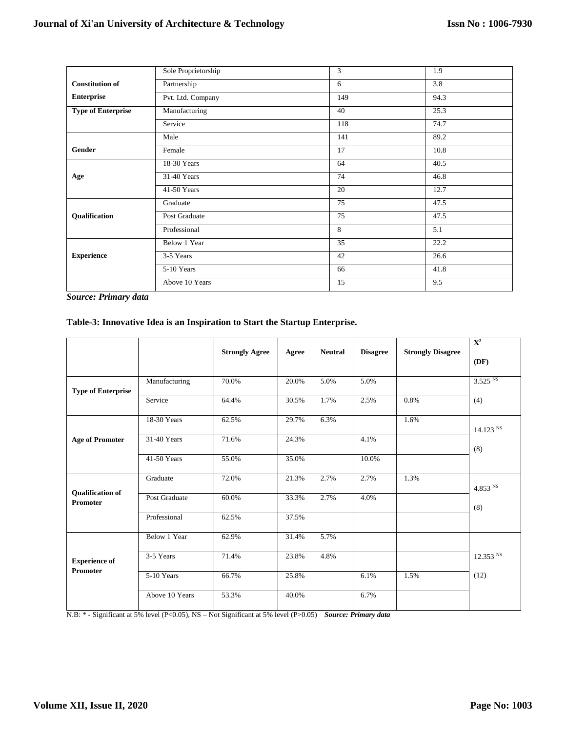|                           | Sole Proprietorship | 3   | 1.9  |  |
|---------------------------|---------------------|-----|------|--|
| <b>Constitution of</b>    | Partnership         | 6   | 3.8  |  |
| <b>Enterprise</b>         | Pvt. Ltd. Company   | 149 | 94.3 |  |
| <b>Type of Enterprise</b> | Manufacturing       | 40  | 25.3 |  |
|                           | Service             | 118 | 74.7 |  |
|                           | Male                | 141 | 89.2 |  |
| Gender                    | Female              | 17  | 10.8 |  |
|                           | 18-30 Years         | 64  | 40.5 |  |
| Age                       | 31-40 Years         | 74  | 46.8 |  |
|                           | 41-50 Years         | 20  | 12.7 |  |
|                           | Graduate            | 75  | 47.5 |  |
| Qualification             | Post Graduate       | 75  | 47.5 |  |
|                           | Professional        | 8   | 5.1  |  |
|                           | Below 1 Year        | 35  | 22.2 |  |
| <b>Experience</b>         | 3-5 Years           | 42  | 26.6 |  |
|                           | 5-10 Years          | 66  | 41.8 |  |
|                           | Above 10 Years      | 15  | 9.5  |  |

*Source: Primary data*

#### **Table-3: Innovative Idea is an Inspiration to Start the Startup Enterprise.**

|                                            |                |                       |       |                |                 |                          | $\mathbf{X}^2$      |
|--------------------------------------------|----------------|-----------------------|-------|----------------|-----------------|--------------------------|---------------------|
|                                            |                | <b>Strongly Agree</b> | Agree | <b>Neutral</b> | <b>Disagree</b> | <b>Strongly Disagree</b> | (DF)                |
| <b>Type of Enterprise</b>                  | Manufacturing  | 70.0%                 | 20.0% | 5.0%           | 5.0%            |                          | 3.525 <sup>NS</sup> |
|                                            | Service        | 64.4%                 | 30.5% | 1.7%           | 2.5%            | 0.8%                     | (4)                 |
|                                            | 18-30 Years    | 62.5%                 | 29.7% | 6.3%           |                 | 1.6%                     | 14.123 N            |
| <b>Age of Promoter</b>                     | 31-40 Years    | 71.6%                 | 24.3% |                | 4.1%            |                          | (8)                 |
|                                            | 41-50 Years    | 55.0%                 | 35.0% |                | 10.0%           |                          |                     |
|                                            | Graduate       | 72.0%                 | 21.3% | 2.7%           | 2.7%            | 1.3%                     | $4.853$ $^{\rm NS}$ |
| <b>Qualification of</b><br><b>Promoter</b> | Post Graduate  | 60.0%                 | 33.3% | 2.7%           | 4.0%            |                          | (8)                 |
|                                            | Professional   | 62.5%                 | 37.5% |                |                 |                          |                     |
|                                            | Below 1 Year   | 62.9%                 | 31.4% | 5.7%           |                 |                          |                     |
| <b>Experience of</b>                       | 3-5 Years      | 71.4%                 | 23.8% | 4.8%           |                 |                          | 12.353 NS           |
| <b>Promoter</b>                            | 5-10 Years     | 66.7%                 | 25.8% |                | 6.1%            | 1.5%                     | (12)                |
|                                            | Above 10 Years | 53.3%                 | 40.0% |                | 6.7%            |                          |                     |

N.B: \* - Significant at 5% level (P<0.05), NS – Not Significant at 5% level (P>0.05) *Source: Primary data*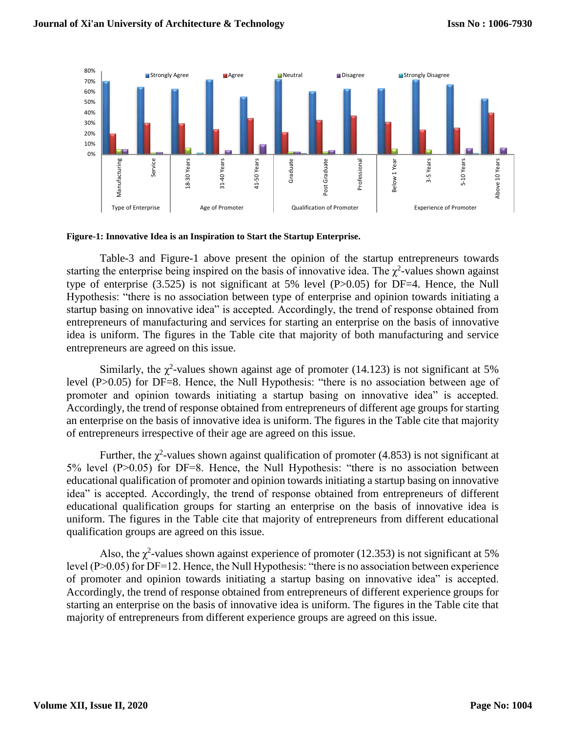

#### **Figure-1: Innovative Idea is an Inspiration to Start the Startup Enterprise.**

Table-3 and Figure-1 above present the opinion of the startup entrepreneurs towards starting the enterprise being inspired on the basis of innovative idea. The  $\chi^2$ -values shown against type of enterprise (3.525) is not significant at 5% level (P>0.05) for DF=4. Hence, the Null Hypothesis: "there is no association between type of enterprise and opinion towards initiating a startup basing on innovative idea" is accepted. Accordingly, the trend of response obtained from entrepreneurs of manufacturing and services for starting an enterprise on the basis of innovative idea is uniform. The figures in the Table cite that majority of both manufacturing and service entrepreneurs are agreed on this issue.

Similarly, the  $\chi^2$ -values shown against age of promoter (14.123) is not significant at 5% level (P>0.05) for DF=8. Hence, the Null Hypothesis: "there is no association between age of promoter and opinion towards initiating a startup basing on innovative idea" is accepted. Accordingly, the trend of response obtained from entrepreneurs of different age groups for starting an enterprise on the basis of innovative idea is uniform. The figures in the Table cite that majority of entrepreneurs irrespective of their age are agreed on this issue.

Further, the  $\chi^2$ -values shown against qualification of promoter (4.853) is not significant at 5% level (P>0.05) for DF=8. Hence, the Null Hypothesis: "there is no association between educational qualification of promoter and opinion towards initiating a startup basing on innovative idea" is accepted. Accordingly, the trend of response obtained from entrepreneurs of different educational qualification groups for starting an enterprise on the basis of innovative idea is uniform. The figures in the Table cite that majority of entrepreneurs from different educational qualification groups are agreed on this issue.

Also, the  $\chi^2$ -values shown against experience of promoter (12.353) is not significant at 5% level (P>0.05) for DF=12. Hence, the Null Hypothesis: "there is no association between experience of promoter and opinion towards initiating a startup basing on innovative idea" is accepted. Accordingly, the trend of response obtained from entrepreneurs of different experience groups for starting an enterprise on the basis of innovative idea is uniform. The figures in the Table cite that majority of entrepreneurs from different experience groups are agreed on this issue.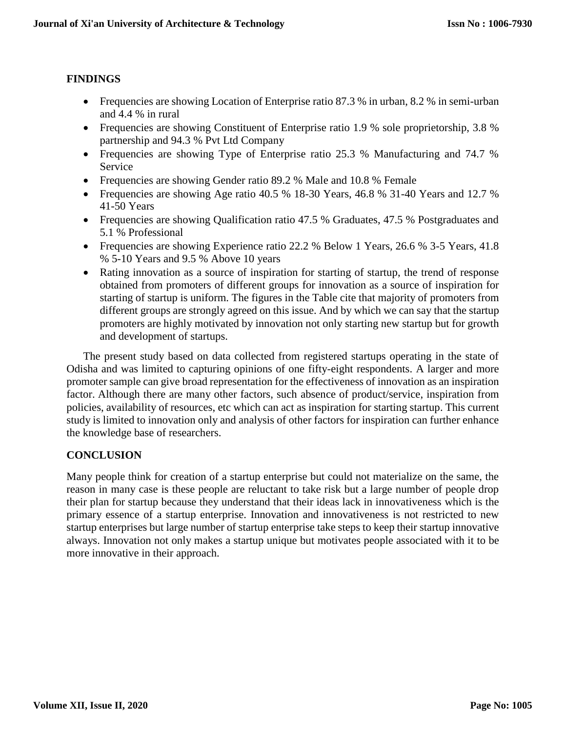# **FINDINGS**

- Frequencies are showing Location of Enterprise ratio 87.3 % in urban, 8.2 % in semi-urban and 4.4 % in rural
- Frequencies are showing Constituent of Enterprise ratio 1.9 % sole proprietorship, 3.8 % partnership and 94.3 % Pvt Ltd Company
- Frequencies are showing Type of Enterprise ratio 25.3 % Manufacturing and 74.7 % Service
- Frequencies are showing Gender ratio 89.2 % Male and 10.8 % Female
- Frequencies are showing Age ratio 40.5 % 18-30 Years, 46.8 % 31-40 Years and 12.7 % 41-50 Years
- Frequencies are showing Qualification ratio 47.5 % Graduates, 47.5 % Postgraduates and 5.1 % Professional
- Frequencies are showing Experience ratio 22.2 % Below 1 Years, 26.6 % 3-5 Years, 41.8 % 5-10 Years and 9.5 % Above 10 years
- Rating innovation as a source of inspiration for starting of startup, the trend of response obtained from promoters of different groups for innovation as a source of inspiration for starting of startup is uniform. The figures in the Table cite that majority of promoters from different groups are strongly agreed on this issue. And by which we can say that the startup promoters are highly motivated by innovation not only starting new startup but for growth and development of startups.

The present study based on data collected from registered startups operating in the state of Odisha and was limited to capturing opinions of one fifty-eight respondents. A larger and more promoter sample can give broad representation for the effectiveness of innovation as an inspiration factor. Although there are many other factors, such absence of product/service, inspiration from policies, availability of resources, etc which can act as inspiration for starting startup. This current study is limited to innovation only and analysis of other factors for inspiration can further enhance the knowledge base of researchers.

# **CONCLUSION**

Many people think for creation of a startup enterprise but could not materialize on the same, the reason in many case is these people are reluctant to take risk but a large number of people drop their plan for startup because they understand that their ideas lack in innovativeness which is the primary essence of a startup enterprise. Innovation and innovativeness is not restricted to new startup enterprises but large number of startup enterprise take steps to keep their startup innovative always. Innovation not only makes a startup unique but motivates people associated with it to be more innovative in their approach.